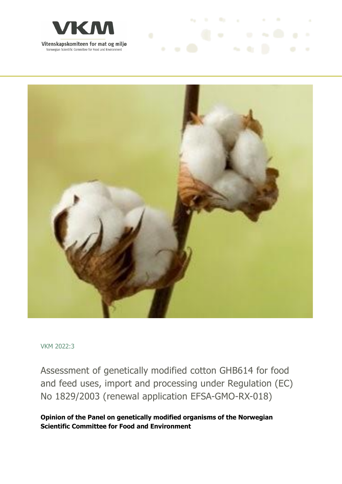



**As In the second and the second and the second and the second** 

VKM 2022:3

Assessment of genetically modified cotton GHB614 for food and feed uses, import and processing under Regulation (EC) No 1829/2003 (renewal application EFSA-GMO-RX-018)

**Opinion of the Panel on genetically modified organisms of the Norwegian Scientific Committee for Food and Environment**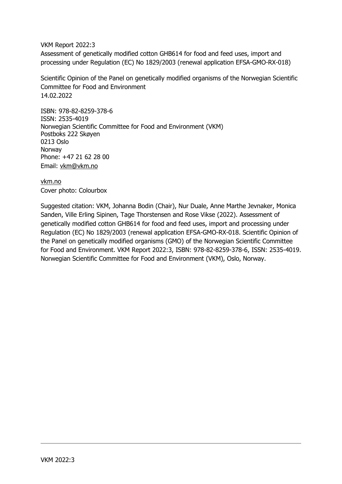VKM Report 2022:3

Assessment of genetically modified cotton GHB614 for food and feed uses, import and processing under Regulation (EC) No 1829/2003 (renewal application EFSA-GMO-RX-018)

Scientific Opinion of the Panel on genetically modified organisms of the Norwegian Scientific Committee for Food and Environment 14.02.2022

ISBN: 978-82-8259-378-6 ISSN: 2535-4019 Norwegian Scientific Committee for Food and Environment (VKM) Postboks 222 Skøyen 0213 Oslo Norway Phone: +47 21 62 28 00 Email: vkm@vkm.no

vkm.no Cover photo: Colourbox

Suggested citation: VKM, Johanna Bodin (Chair), Nur Duale, Anne Marthe Jevnaker, Monica Sanden, Ville Erling Sipinen, Tage Thorstensen and Rose Vikse (2022). Assessment of genetically modified cotton GHB614 for food and feed uses, import and processing under Regulation (EC) No 1829/2003 (renewal application EFSA-GMO-RX-018. Scientific Opinion of the Panel on genetically modified organisms (GMO) of the Norwegian Scientific Committee for Food and Environment. VKM Report 2022:3, ISBN: 978-82-8259-378-6, ISSN: 2535-4019. Norwegian Scientific Committee for Food and Environment (VKM), Oslo, Norway.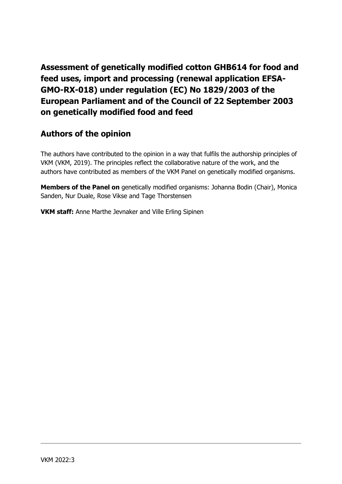**Assessment of genetically modified cotton GHB614 for food and feed uses, import and processing (renewal application EFSA-GMO-RX-018) under regulation (EC) No 1829/2003 of the European Parliament and of the Council of 22 September 2003 on genetically modified food and feed**

## **Authors of the opinion**

The authors have contributed to the opinion in a way that fulfils the authorship principles of VKM (VKM, 2019). The principles reflect the collaborative nature of the work, and the authors have contributed as members of the VKM Panel on genetically modified organisms.

**Members of the Panel on** genetically modified organisms: Johanna Bodin (Chair), Monica Sanden, Nur Duale, Rose Vikse and Tage Thorstensen

**VKM staff:** Anne Marthe Jevnaker and Ville Erling Sipinen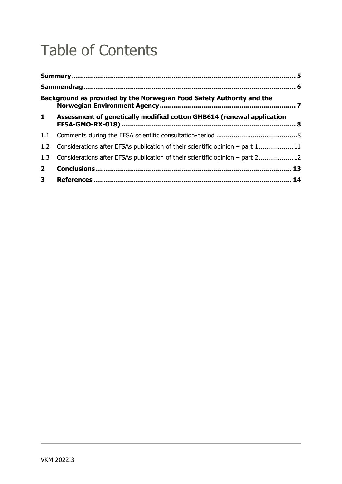# Table of Contents

|                  | Background as provided by the Norwegian Food Safety Authority and the          |  |
|------------------|--------------------------------------------------------------------------------|--|
| $\mathbf{1}$     | Assessment of genetically modified cotton GHB614 (renewal application          |  |
| 1.1              |                                                                                |  |
| 1.2 <sub>2</sub> | Considerations after EFSAs publication of their scientific opinion – part 111  |  |
| 1.3              | Considerations after EFSAs publication of their scientific opinion – part 2 12 |  |
| 2 <sup>1</sup>   |                                                                                |  |
| 3 <sup>7</sup>   |                                                                                |  |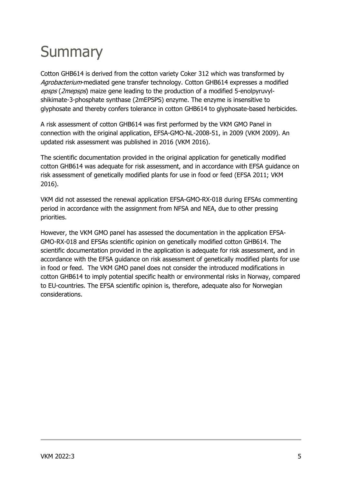# **Summary**

Cotton GHB614 is derived from the cotton variety Coker 312 which was transformed by Agrobacterium-mediated gene transfer technology. Cotton GHB614 expresses a modified epsps (2mepsps) maize gene leading to the production of a modified 5-enolpyruvylshikimate-3-phosphate synthase (2mEPSPS) enzyme. The enzyme is insensitive to glyphosate and thereby confers tolerance in cotton GHB614 to glyphosate-based herbicides.

A risk assessment of cotton GHB614 was first performed by the VKM GMO Panel in connection with the original application, EFSA-GMO-NL-2008-51, in 2009 (VKM 2009). An updated risk assessment was published in 2016 (VKM 2016).

The scientific documentation provided in the original application for genetically modified cotton GHB614 was adequate for risk assessment, and in accordance with EFSA guidance on risk assessment of genetically modified plants for use in food or feed (EFSA 2011; VKM 2016).

VKM did not assessed the renewal application EFSA-GMO-RX-018 during EFSAs commenting period in accordance with the assignment from NFSA and NEA, due to other pressing priorities.

However, the VKM GMO panel has assessed the documentation in the application EFSA‐ GMO‐RX-018 and EFSAs scientific opinion on genetically modified cotton GHB614. The scientific documentation provided in the application is adequate for risk assessment, and in accordance with the EFSA guidance on risk assessment of genetically modified plants for use in food or feed. The VKM GMO panel does not consider the introduced modifications in cotton GHB614 to imply potential specific health or environmental risks in Norway, compared to EU-countries. The EFSA scientific opinion is, therefore, adequate also for Norwegian considerations.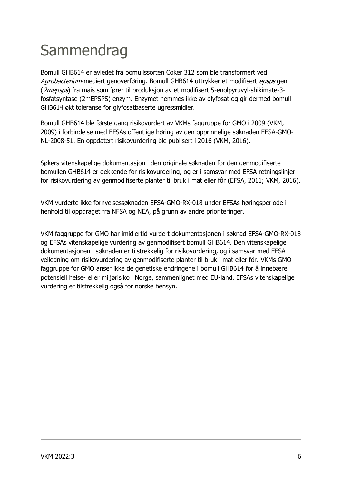# **Sammendrag**

Bomull GHB614 er avledet fra bomullssorten Coker 312 som ble transformert ved Agrobacterium-mediert genoverføring. Bomull GHB614 uttrykker et modifisert epsps gen (2mepsps) fra mais som fører til produksjon av et modifisert 5-enolpyruvyl-shikimate-3fosfatsyntase (2mEPSPS) enzym. Enzymet hemmes ikke av glyfosat og gir dermed bomull GHB614 økt toleranse for glyfosatbaserte ugressmidler.

Bomull GHB614 ble første gang risikovurdert av VKMs faggruppe for GMO i 2009 (VKM, 2009) i forbindelse med EFSAs offentlige høring av den opprinnelige søknaden EFSA-GMO-NL-2008-51. En oppdatert risikovurdering ble publisert i 2016 (VKM, 2016).

Søkers vitenskapelige dokumentasjon i den originale søknaden for den genmodifiserte bomullen GHB614 er dekkende for risikovurdering, og er i samsvar med EFSA retningslinjer for risikovurdering av genmodifiserte planter til bruk i mat eller fôr (EFSA, 2011; VKM, 2016).

VKM vurderte ikke fornyelsessøknaden EFSA-GMO-RX-018 under EFSAs høringsperiode i henhold til oppdraget fra NFSA og NEA, på grunn av andre prioriteringer.

VKM faggruppe for GMO har imidlertid vurdert dokumentasjonen i søknad EFSA‐GMO‐RX-018 og EFSAs vitenskapelige vurdering av genmodifisert bomull GHB614. Den vitenskapelige dokumentasjonen i søknaden er tilstrekkelig for risikovurdering, og i samsvar med EFSA veiledning om risikovurdering av genmodifiserte planter til bruk i mat eller fôr. VKMs GMO faggruppe for GMO anser ikke de genetiske endringene i bomull GHB614 for å innebære potensiell helse- eller miljørisiko i Norge, sammenlignet med EU-land. EFSAs vitenskapelige vurdering er tilstrekkelig også for norske hensyn.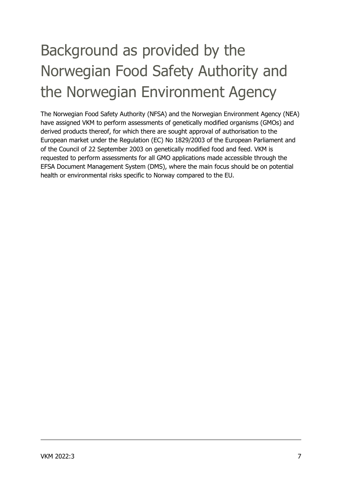# Background as provided by the Norwegian Food Safety Authority and the Norwegian Environment Agency

The Norwegian Food Safety Authority (NFSA) and the Norwegian Environment Agency (NEA) have assigned VKM to perform assessments of genetically modified organisms (GMOs) and derived products thereof, for which there are sought approval of authorisation to the European market under the Regulation (EC) No 1829/2003 of the European Parliament and of the Council of 22 September 2003 on genetically modified food and feed. VKM is requested to perform assessments for all GMO applications made accessible through the EFSA Document Management System (DMS), where the main focus should be on potential health or environmental risks specific to Norway compared to the EU.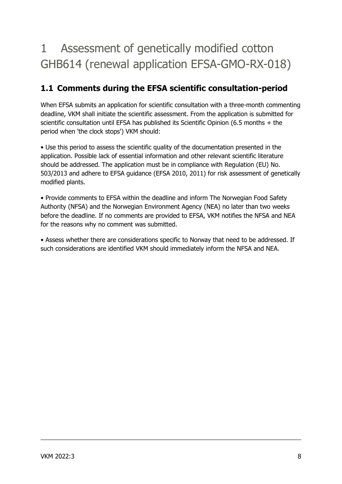## 1 Assessment of genetically modified cotton GHB614 (renewal application EFSA-GMO-RX-018)

## **1.1 Comments during the EFSA scientific consultation-period**

When EFSA submits an application for scientific consultation with a three-month commenting deadline, VKM shall initiate the scientific assessment. From the application is submitted for scientific consultation until EFSA has published its Scientific Opinion (6.5 months + the period when 'the clock stops') VKM should:

• Use this period to assess the scientific quality of the documentation presented in the application. Possible lack of essential information and other relevant scientific literature should be addressed. The application must be in compliance with Regulation (EU) No. 503/2013 and adhere to EFSA guidance (EFSA 2010, 2011) for risk assessment of genetically modified plants.

• Provide comments to EFSA within the deadline and inform The Norwegian Food Safety Authority (NFSA) and the Norwegian Environment Agency (NEA) no later than two weeks before the deadline. If no comments are provided to EFSA, VKM notifies the NFSA and NEA for the reasons why no comment was submitted.

• Assess whether there are considerations specific to Norway that need to be addressed. If such considerations are identified VKM should immediately inform the NFSA and NEA.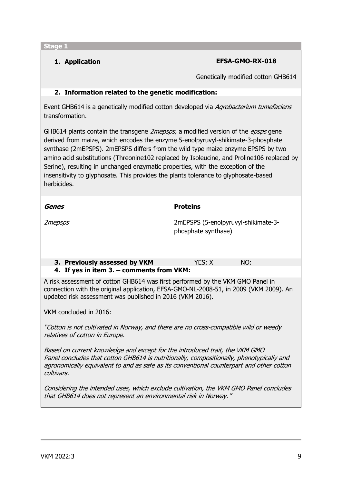**Stage 1** 

**1. Application EFSA-GMO-RX-018**

Genetically modified cotton GHB614

### **2. Information related to the genetic modification:**

Event GHB614 is a genetically modified cotton developed via Agrobacterium tumefaciens transformation.

GHB614 plants contain the transgene *2mepsps*, a modified version of the *epsps* gene derived from maize, which encodes the enzyme 5-enolpyruvyl-shikimate-3-phosphate synthase (2mEPSPS). 2mEPSPS differs from the wild type maize enzyme EPSPS by two amino acid substitutions (Threonine102 replaced by Isoleucine, and Proline106 replaced by Serine), resulting in unchanged enzymatic properties, with the exception of the insensitivity to glyphosate. This provides the plants tolerance to glyphosate-based herbicides.

| Genes                                                                                                                                                                                                                                | <b>Proteins</b>                                            |     |  |  |
|--------------------------------------------------------------------------------------------------------------------------------------------------------------------------------------------------------------------------------------|------------------------------------------------------------|-----|--|--|
| 2 <i>mepsps</i>                                                                                                                                                                                                                      | 2mEPSPS (5-enolpyruvyl-shikimate-3-<br>phosphate synthase) |     |  |  |
| 3. Previously assessed by VKM                                                                                                                                                                                                        | YES: X                                                     | NO: |  |  |
| 4. If yes in item 3. – comments from VKM:                                                                                                                                                                                            |                                                            |     |  |  |
| A risk assessment of cotton GHB614 was first performed by the VKM GMO Panel in<br>connection with the original application, EFSA-GMO-NL-2008-51, in 2009 (VKM 2009). An<br>updated risk assessment was published in 2016 (VKM 2016). |                                                            |     |  |  |

VKM concluded in 2016:

"Cotton is not cultivated in Norway, and there are no cross-compatible wild or weedy relatives of cotton in Europe.

Based on current knowledge and except for the introduced trait, the VKM GMO Panel concludes that cotton GHB614 is nutritionally, compositionally, phenotypically and agronomically equivalent to and as safe as its conventional counterpart and other cotton cultivars.

Considering the intended uses, which exclude cultivation, the VKM GMO Panel concludes that GHB614 does not represent an environmental risk in Norway."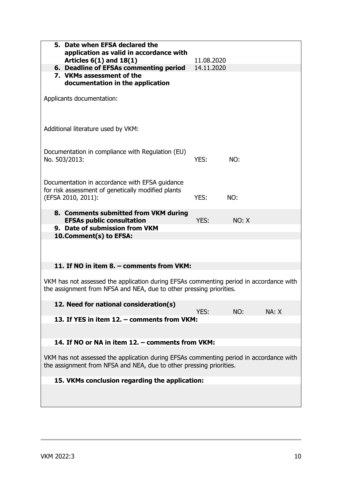| 5. Date when EFSA declared the<br>application as valid in accordance with<br>Articles $6(1)$ and $18(1)$                                                      | 11.08.2020 |       |       |  |
|---------------------------------------------------------------------------------------------------------------------------------------------------------------|------------|-------|-------|--|
| 6. Deadline of EFSAs commenting period                                                                                                                        | 14.11.2020 |       |       |  |
| 7. VKMs assessment of the<br>documentation in the application                                                                                                 |            |       |       |  |
| Applicants documentation:                                                                                                                                     |            |       |       |  |
| Additional literature used by VKM:                                                                                                                            |            |       |       |  |
| Documentation in compliance with Regulation (EU)<br>No. 503/2013:                                                                                             | YES:       | NO:   |       |  |
| Documentation in accordance with EFSA guidance<br>for risk assessment of genetically modified plants<br>(EFSA 2010, 2011):                                    | YES:       | NO:   |       |  |
| 8. Comments submitted from VKM during<br><b>EFSAs public consultation</b>                                                                                     | YES:       | NO: X |       |  |
| 9. Date of submission from VKM                                                                                                                                |            |       |       |  |
| 10. Comment(s) to EFSA:                                                                                                                                       |            |       |       |  |
| 11. If NO in item 8. - comments from VKM:                                                                                                                     |            |       |       |  |
| VKM has not assessed the application during EFSAs commenting period in accordance with<br>the assignment from NFSA and NEA, due to other pressing priorities. |            |       |       |  |
| 12. Need for national consideration(s)                                                                                                                        | YES:       | NO:   | NA: X |  |
| 13. If YES in item 12. - comments from VKM:                                                                                                                   |            |       |       |  |
|                                                                                                                                                               |            |       |       |  |
| 14. If NO or NA in item 12. - comments from VKM:                                                                                                              |            |       |       |  |
|                                                                                                                                                               |            |       |       |  |
| VKM has not assessed the application during EFSAs commenting period in accordance with<br>the assignment from NFSA and NEA, due to other pressing priorities. |            |       |       |  |
| 15. VKMs conclusion regarding the application:                                                                                                                |            |       |       |  |
|                                                                                                                                                               |            |       |       |  |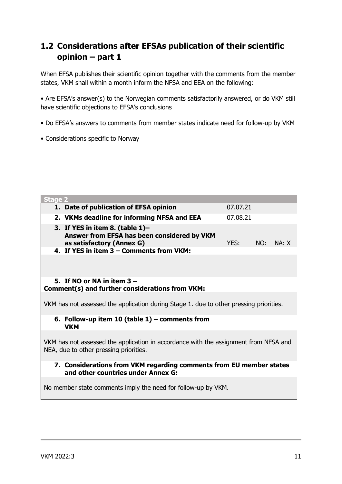## **1.2 Considerations after EFSAs publication of their scientific opinion – part 1**

When EFSA publishes their scientific opinion together with the comments from the member states, VKM shall within a month inform the NFSA and EEA on the following:

• Are EFSA's answer(s) to the Norwegian comments satisfactorily answered, or do VKM still have scientific objections to EFSA's conclusions

- Do EFSA's answers to comments from member states indicate need for follow-up by VKM
- Considerations specific to Norway

| <b>Stage 2</b>                                                                                                                 |          |     |       |  |  |
|--------------------------------------------------------------------------------------------------------------------------------|----------|-----|-------|--|--|
| 1. Date of publication of EFSA opinion                                                                                         | 07.07.21 |     |       |  |  |
| 2. VKMs deadline for informing NFSA and EEA                                                                                    | 07.08.21 |     |       |  |  |
| 3. If YES in item 8. (table $1$ )-<br>Answer from EFSA has been considered by VKM<br>as satisfactory (Annex G)                 | YES:     | NO: | NA: X |  |  |
| 4. If YES in item 3 - Comments from VKM:                                                                                       |          |     |       |  |  |
|                                                                                                                                |          |     |       |  |  |
| 5. If NO or NA in item $3 -$<br>Comment(s) and further considerations from VKM:                                                |          |     |       |  |  |
|                                                                                                                                |          |     |       |  |  |
| VKM has not assessed the application during Stage 1. due to other pressing priorities.                                         |          |     |       |  |  |
| 6. Follow-up item 10 (table $1$ ) – comments from<br><b>VKM</b>                                                                |          |     |       |  |  |
| VKM has not assessed the application in accordance with the assignment from NFSA and<br>NEA, due to other pressing priorities. |          |     |       |  |  |
| 7. Considerations from VKM regarding comments from EU member states<br>and other countries under Annex G:                      |          |     |       |  |  |
| No member state comments imply the need for follow-up by VKM.                                                                  |          |     |       |  |  |
|                                                                                                                                |          |     |       |  |  |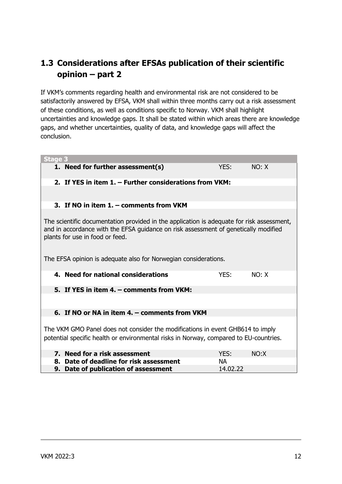## **1.3 Considerations after EFSAs publication of their scientific opinion – part 2**

If VKM's comments regarding health and environmental risk are not considered to be satisfactorily answered by EFSA, VKM shall within three months carry out a risk assessment of these conditions, as well as conditions specific to Norway. VKM shall highlight uncertainties and knowledge gaps. It shall be stated within which areas there are knowledge gaps, and whether uncertainties, quality of data, and knowledge gaps will affect the conclusion.

| <b>Stage 3</b>                                                                                                                                                                                                      |          |       |  |  |  |
|---------------------------------------------------------------------------------------------------------------------------------------------------------------------------------------------------------------------|----------|-------|--|--|--|
| 1. Need for further assessment(s)                                                                                                                                                                                   | YES:     | NO: X |  |  |  |
| 2. If YES in item 1. - Further considerations from VKM:                                                                                                                                                             |          |       |  |  |  |
|                                                                                                                                                                                                                     |          |       |  |  |  |
| 3. If NO in item 1. - comments from VKM                                                                                                                                                                             |          |       |  |  |  |
| The scientific documentation provided in the application is adequate for risk assessment,<br>and in accordance with the EFSA guidance on risk assessment of genetically modified<br>plants for use in food or feed. |          |       |  |  |  |
| The EFSA opinion is adequate also for Norwegian considerations.                                                                                                                                                     |          |       |  |  |  |
| 4. Need for national considerations                                                                                                                                                                                 | YES:     | NO: X |  |  |  |
| 5. If YES in item 4. - comments from VKM:                                                                                                                                                                           |          |       |  |  |  |
|                                                                                                                                                                                                                     |          |       |  |  |  |
| 6. If NO or NA in item 4. - comments from VKM                                                                                                                                                                       |          |       |  |  |  |
|                                                                                                                                                                                                                     |          |       |  |  |  |
| The VKM GMO Panel does not consider the modifications in event GHB614 to imply                                                                                                                                      |          |       |  |  |  |
| potential specific health or environmental risks in Norway, compared to EU-countries.                                                                                                                               |          |       |  |  |  |
| 7. Need for a risk assessment                                                                                                                                                                                       | YES:     | NO: X |  |  |  |
| 8. Date of deadline for risk assessment                                                                                                                                                                             | NА       |       |  |  |  |
| 9. Date of publication of assessment                                                                                                                                                                                | 14.02.22 |       |  |  |  |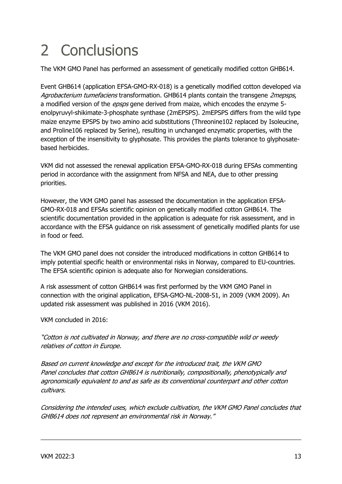# 2 Conclusions

The VKM GMO Panel has performed an assessment of genetically modified cotton GHB614.

Event GHB614 (application EFSA‐GMO‐RX-018) is a genetically modified cotton developed via Agrobacterium tumefaciens transformation. GHB614 plants contain the transgene 2mepsps, a modified version of the *epsps* gene derived from maize, which encodes the enzyme 5enolpyruvyl-shikimate-3-phosphate synthase (2mEPSPS). 2mEPSPS differs from the wild type maize enzyme EPSPS by two amino acid substitutions (Threonine102 replaced by Isoleucine, and Proline106 replaced by Serine), resulting in unchanged enzymatic properties, with the exception of the insensitivity to glyphosate. This provides the plants tolerance to glyphosatebased herbicides.

VKM did not assessed the renewal application EFSA-GMO-RX-018 during EFSAs commenting period in accordance with the assignment from NFSA and NEA, due to other pressing priorities.

However, the VKM GMO panel has assessed the documentation in the application EFSA‐ GMO‐RX-018 and EFSAs scientific opinion on genetically modified cotton GHB614. The scientific documentation provided in the application is adequate for risk assessment, and in accordance with the EFSA guidance on risk assessment of genetically modified plants for use in food or feed.

The VKM GMO panel does not consider the introduced modifications in cotton GHB614 to imply potential specific health or environmental risks in Norway, compared to EU-countries. The EFSA scientific opinion is adequate also for Norwegian considerations.

A risk assessment of cotton GHB614 was first performed by the VKM GMO Panel in connection with the original application, EFSA-GMO-NL-2008-51, in 2009 (VKM 2009). An updated risk assessment was published in 2016 (VKM 2016).

VKM concluded in 2016:

"Cotton is not cultivated in Norway, and there are no cross-compatible wild or weedy relatives of cotton in Europe.

Based on current knowledge and except for the introduced trait, the VKM GMO Panel concludes that cotton GHB614 is nutritionally, compositionally, phenotypically and agronomically equivalent to and as safe as its conventional counterpart and other cotton cultivars.

Considering the intended uses, which exclude cultivation, the VKM GMO Panel concludes that GHB614 does not represent an environmental risk in Norway."